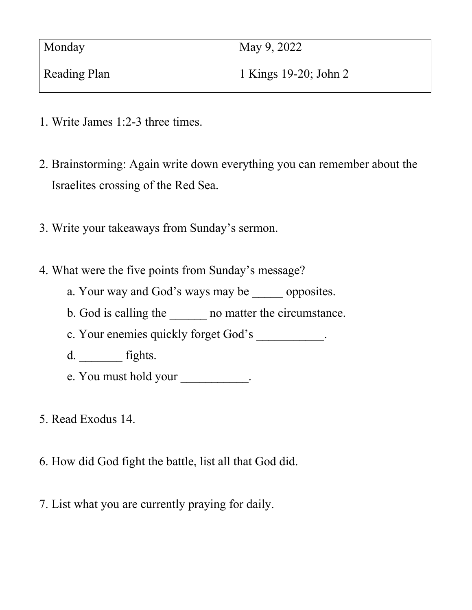| Monday              | May 9, 2022                        |
|---------------------|------------------------------------|
| <b>Reading Plan</b> | <sup>1</sup> 1 Kings 19-20; John 2 |

- 1. Write James 1:2-3 three times.
- 2. Brainstorming: Again write down everything you can remember about the Israelites crossing of the Red Sea.
- 3. Write your takeaways from Sunday's sermon.
- 4. What were the five points from Sunday's message?
	- a. Your way and God's ways may be \_\_\_\_\_ opposites.
	- b. God is calling the <br>no matter the circumstance.
	- c. Your enemies quickly forget God's \_\_\_\_\_\_\_\_\_\_.
	- d. \_\_\_\_\_\_\_ fights.
	- e. You must hold your \_\_\_\_\_\_\_\_\_\_.
- 5. Read Exodus 14.
- 6. How did God fight the battle, list all that God did.
- 7. List what you are currently praying for daily.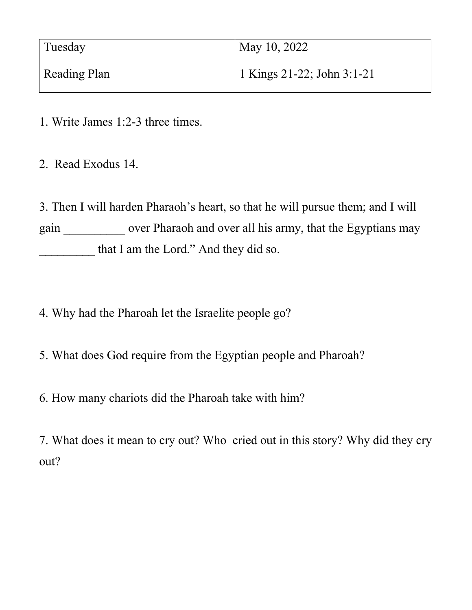| Tuesday             | May 10, 2022               |
|---------------------|----------------------------|
| <b>Reading Plan</b> | 1 Kings 21-22; John 3:1-21 |

- 1. Write James 1:2-3 three times.
- 2. Read Exodus 14.

3. Then I will harden Pharaoh's heart, so that he will pursue them; and I will gain \_\_\_\_\_\_\_\_\_\_\_ over Pharaoh and over all his army, that the Egyptians may that I am the Lord." And they did so.

- 4. Why had the Pharoah let the Israelite people go?
- 5. What does God require from the Egyptian people and Pharoah?
- 6. How many chariots did the Pharoah take with him?

7. What does it mean to cry out? Who cried out in this story? Why did they cry out?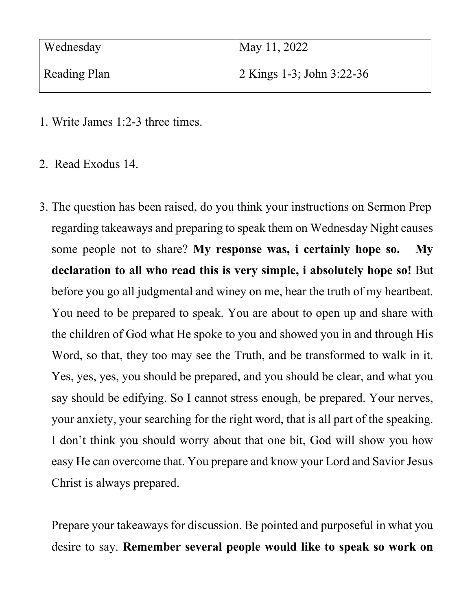| Wednesday    | May 11, 2022                      |
|--------------|-----------------------------------|
| Reading Plan | $\vert$ 2 Kings 1-3; John 3:22-36 |

- 1. Write James 1:2-3 three times.
- 2. Read Exodus 14.
- 3. The question has been raised, do you think your instructions on Sermon Prep regarding takeaways and preparing to speak them on Wednesday Night causes some people not to share? **My response was, i certainly hope so. My declaration to all who read this is very simple, i absolutely hope so!** But before you go all judgmental and winey on me, hear the truth of my heartbeat. You need to be prepared to speak. You are about to open up and share with the children of God what He spoke to you and showed you in and through His Word, so that, they too may see the Truth, and be transformed to walk in it. Yes, yes, yes, you should be prepared, and you should be clear, and what you say should be edifying. So I cannot stress enough, be prepared. Your nerves, your anxiety, your searching for the right word, that is all part of the speaking. I don't think you should worry about that one bit, God will show you how easy He can overcome that. You prepare and know your Lord and Savior Jesus Christ is always prepared.

Prepare your takeaways for discussion. Be pointed and purposeful in what you desire to say. **Remember several people would like to speak so work on**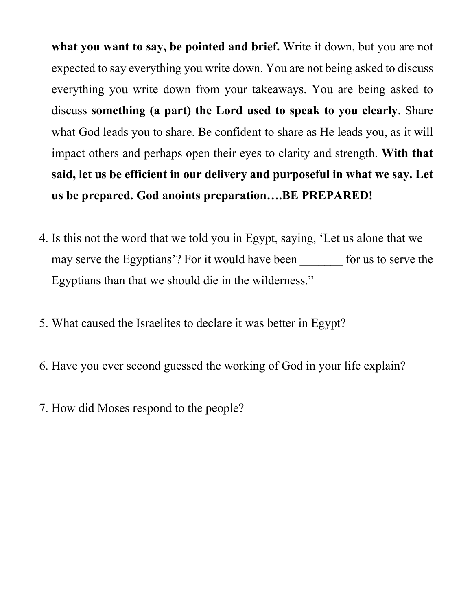**what you want to say, be pointed and brief.** Write it down, but you are not expected to say everything you write down. You are not being asked to discuss everything you write down from your takeaways. You are being asked to discuss **something (a part) the Lord used to speak to you clearly**. Share what God leads you to share. Be confident to share as He leads you, as it will impact others and perhaps open their eyes to clarity and strength. **With that said, let us be efficient in our delivery and purposeful in what we say. Let us be prepared. God anoints preparation….BE PREPARED!**

- 4. Is this not the word that we told you in Egypt, saying, 'Let us alone that we may serve the Egyptians'? For it would have been for us to serve the Egyptians than that we should die in the wilderness."
- 5. What caused the Israelites to declare it was better in Egypt?
- 6. Have you ever second guessed the working of God in your life explain?
- 7. How did Moses respond to the people?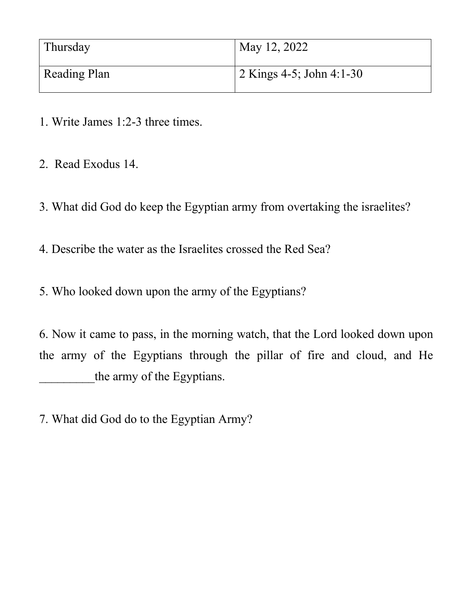| Thursday            | May 12, 2022                      |
|---------------------|-----------------------------------|
| <b>Reading Plan</b> | $\sqrt{2}$ Kings 4-5; John 4:1-30 |

- 1. Write James 1:2-3 three times.
- 2. Read Exodus 14.
- 3. What did God do keep the Egyptian army from overtaking the israelites?
- 4. Describe the water as the Israelites crossed the Red Sea?
- 5. Who looked down upon the army of the Egyptians?

6. Now it came to pass, in the morning watch, that the Lord looked down upon the army of the Egyptians through the pillar of fire and cloud, and He the army of the Egyptians.

7. What did God do to the Egyptian Army?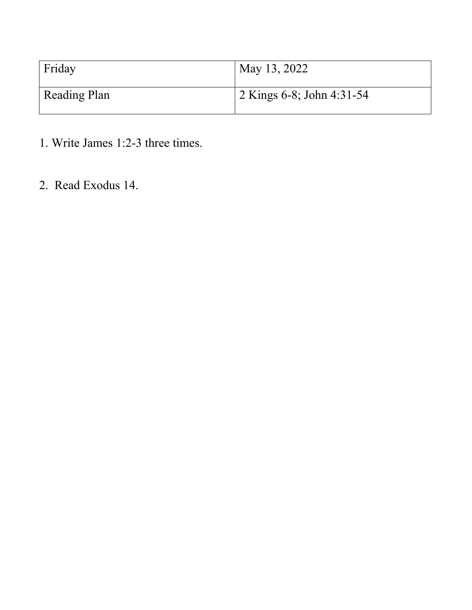| Friday              | May 13, 2022                       |
|---------------------|------------------------------------|
| <b>Reading Plan</b> | $\sqrt{2}$ Kings 6-8; John 4:31-54 |

- 1. Write James 1:2-3 three times.
- 2. Read Exodus 14.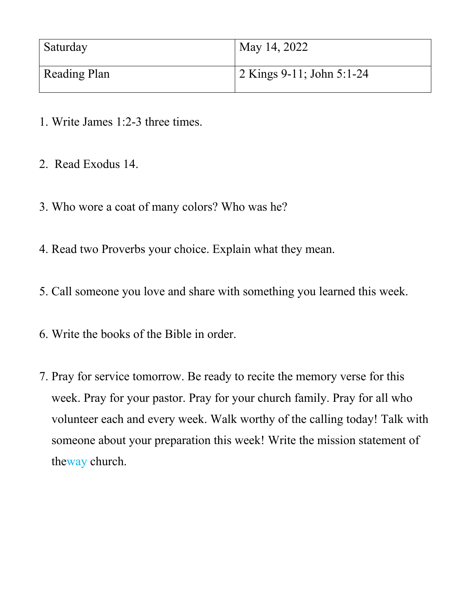| Saturday            | May 14, 2022                      |
|---------------------|-----------------------------------|
| <b>Reading Plan</b> | $\sqrt{2$ Kings 9-11; John 5:1-24 |

- 1. Write James 1:2-3 three times.
- 2. Read Exodus 14.
- 3. Who wore a coat of many colors? Who was he?
- 4. Read two Proverbs your choice. Explain what they mean.
- 5. Call someone you love and share with something you learned this week.
- 6. Write the books of the Bible in order.
- 7. Pray for service tomorrow. Be ready to recite the memory verse for this week. Pray for your pastor. Pray for your church family. Pray for all who volunteer each and every week. Walk worthy of the calling today! Talk with someone about your preparation this week! Write the mission statement of theway church.